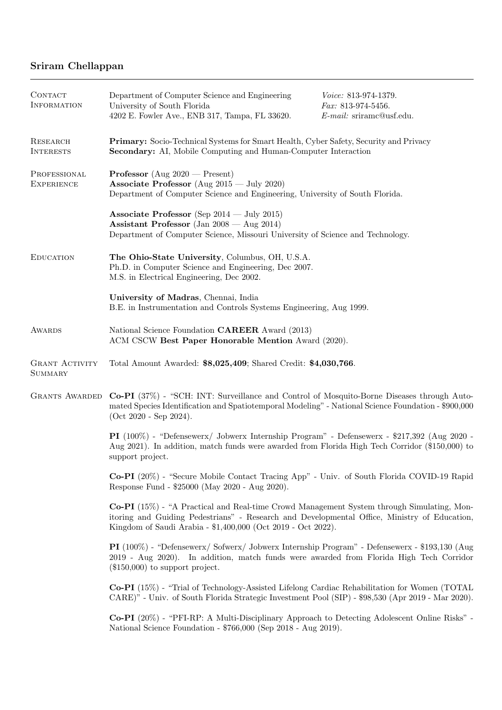# Sriram Chellappan

| CONTACT<br><b>INFORMATION</b>           | Department of Computer Science and Engineering<br>University of South Florida<br>4202 E. Fowler Ave., ENB 317, Tampa, FL 33620.                                                                                                                           | Voice: 813-974-1379.<br>Fax: 813-974-5456.<br>E-mail: sriramc@usf.edu. |
|-----------------------------------------|-----------------------------------------------------------------------------------------------------------------------------------------------------------------------------------------------------------------------------------------------------------|------------------------------------------------------------------------|
| RESEARCH<br><b>INTERESTS</b>            | Primary: Socio-Technical Systems for Smart Health, Cyber Safety, Security and Privacy<br>Secondary: AI, Mobile Computing and Human-Computer Interaction                                                                                                   |                                                                        |
| PROFESSIONAL<br><b>EXPERIENCE</b>       | <b>Professor</b> (Aug $2020$ – Present)<br>Associate Professor (Aug $2015 - \text{July } 2020$ )<br>Department of Computer Science and Engineering, University of South Florida.                                                                          |                                                                        |
|                                         | Associate Professor (Sep $2014 - \text{July } 2015$ )<br>Assistant Professor (Jan $2008 - \text{Aug } 2014$ )<br>Department of Computer Science, Missouri University of Science and Technology.                                                           |                                                                        |
| <b>EDUCATION</b>                        | The Ohio-State University, Columbus, OH, U.S.A.<br>Ph.D. in Computer Science and Engineering, Dec 2007.<br>M.S. in Electrical Engineering, Dec 2002.                                                                                                      |                                                                        |
|                                         | University of Madras, Chennai, India<br>B.E. in Instrumentation and Controls Systems Engineering, Aug 1999.                                                                                                                                               |                                                                        |
| <b>AWARDS</b>                           | National Science Foundation CAREER Award (2013)<br>ACM CSCW Best Paper Honorable Mention Award (2020).                                                                                                                                                    |                                                                        |
| <b>GRANT ACTIVITY</b><br><b>SUMMARY</b> | Total Amount Awarded: \$8,025,409; Shared Credit: \$4,030,766.                                                                                                                                                                                            |                                                                        |
| <b>GRANTS AWARDED</b>                   | Co-PI (37%) - "SCH: INT: Surveillance and Control of Mosquito-Borne Diseases through Auto-<br>mated Species Identification and Spatiotemporal Modeling" - National Science Foundation - \$900,000<br>$(Oct 2020 - Sep 2024).$                             |                                                                        |
|                                         | PI (100%) - "Defensewerx/ Jobwerx Internship Program" - Defensewerx - \$217,392 (Aug 2020 -<br>Aug 2021). In addition, match funds were awarded from Florida High Tech Corridor (\$150,000) to<br>support project.                                        |                                                                        |
|                                         | Co-PI (20%) - "Secure Mobile Contact Tracing App" - Univ. of South Florida COVID-19 Rapid<br>Response Fund - \$25000 (May 2020 - Aug 2020).                                                                                                               |                                                                        |
|                                         | Co-PI (15%) - "A Practical and Real-time Crowd Management System through Simulating, Mon-<br>itoring and Guiding Pedestrians" - Research and Developmental Office, Ministry of Education,<br>Kingdom of Saudi Arabia - \$1,400,000 (Oct 2019 - Oct 2022). |                                                                        |
|                                         | PI (100%) - "Defensewerx/ Sofwerx/ Jobwerx Internship Program" - Defensewerx - \$193,130 (Aug<br>2019 - Aug 2020). In addition, match funds were awarded from Florida High Tech Corridor<br>$(\$150,000)$ to support project.                             |                                                                        |
|                                         | Co-PI (15%) - "Trial of Technology-Assisted Lifelong Cardiac Rehabilitation for Women (TOTAL<br>CARE)" - Univ. of South Florida Strategic Investment Pool (SIP) - \$98,530 (Apr 2019 - Mar 2020).                                                         |                                                                        |
|                                         | Co-PI (20%) - "PFI-RP: A Multi-Disciplinary Approach to Detecting Adolescent Online Risks" -<br>National Science Foundation - \$766,000 (Sep 2018 - Aug 2019).                                                                                            |                                                                        |
|                                         |                                                                                                                                                                                                                                                           |                                                                        |
|                                         |                                                                                                                                                                                                                                                           |                                                                        |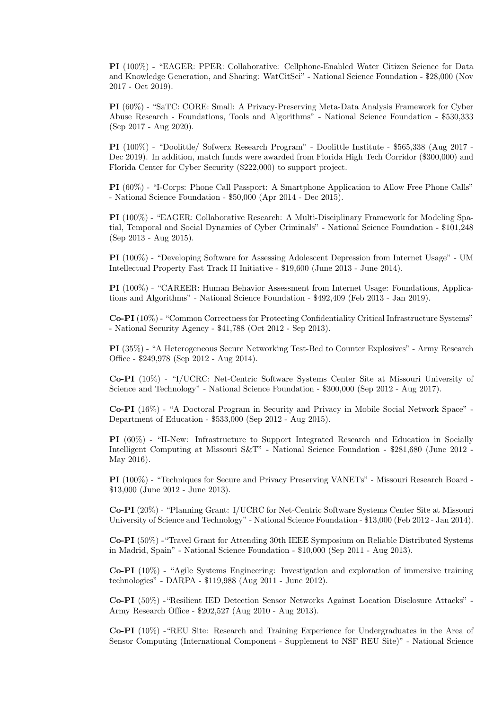PI (100%) - "EAGER: PPER: Collaborative: Cellphone-Enabled Water Citizen Science for Data and Knowledge Generation, and Sharing: WatCitSci" - National Science Foundation - \$28,000 (Nov 2017 - Oct 2019).

PI (60%) - "SaTC: CORE: Small: A Privacy-Preserving Meta-Data Analysis Framework for Cyber Abuse Research - Foundations, Tools and Algorithms" - National Science Foundation - \$530,333 (Sep 2017 - Aug 2020).

PI (100%) - "Doolittle/ Sofwerx Research Program" - Doolittle Institute - \$565,338 (Aug 2017 - Dec 2019). In addition, match funds were awarded from Florida High Tech Corridor (\$300,000) and Florida Center for Cyber Security (\$222,000) to support project.

PI (60%) - "I-Corps: Phone Call Passport: A Smartphone Application to Allow Free Phone Calls" - National Science Foundation - \$50,000 (Apr 2014 - Dec 2015).

PI (100%) - "EAGER: Collaborative Research: A Multi-Disciplinary Framework for Modeling Spatial, Temporal and Social Dynamics of Cyber Criminals" - National Science Foundation - \$101,248 (Sep 2013 - Aug 2015).

PI (100%) - "Developing Software for Assessing Adolescent Depression from Internet Usage" - UM Intellectual Property Fast Track II Initiative - \$19,600 (June 2013 - June 2014).

PI (100%) - "CAREER: Human Behavior Assessment from Internet Usage: Foundations, Applications and Algorithms" - National Science Foundation - \$492,409 (Feb 2013 - Jan 2019).

Co-PI (10%) - "Common Correctness for Protecting Confidentiality Critical Infrastructure Systems" - National Security Agency - \$41,788 (Oct 2012 - Sep 2013).

PI (35%) - "A Heterogeneous Secure Networking Test-Bed to Counter Explosives" - Army Research Office - \$249,978 (Sep 2012 - Aug 2014).

Co-PI (10%) - "I/UCRC: Net-Centric Software Systems Center Site at Missouri University of Science and Technology" - National Science Foundation - \$300,000 (Sep 2012 - Aug 2017).

Co-PI (16%) - "A Doctoral Program in Security and Privacy in Mobile Social Network Space" - Department of Education - \$533,000 (Sep 2012 - Aug 2015).

PI (60%) - "II-New: Infrastructure to Support Integrated Research and Education in Socially Intelligent Computing at Missouri S&T" - National Science Foundation - \$281,680 (June 2012 - May 2016).

PI (100%) - "Techniques for Secure and Privacy Preserving VANETs" - Missouri Research Board - \$13,000 (June 2012 - June 2013).

Co-PI (20%) - "Planning Grant: I/UCRC for Net-Centric Software Systems Center Site at Missouri University of Science and Technology" - National Science Foundation - \$13,000 (Feb 2012 - Jan 2014).

Co-PI (50%) -"Travel Grant for Attending 30th IEEE Symposium on Reliable Distributed Systems in Madrid, Spain" - National Science Foundation - \$10,000 (Sep 2011 - Aug 2013).

Co-PI (10%) - "Agile Systems Engineering: Investigation and exploration of immersive training technologies" - DARPA - \$119,988 (Aug 2011 - June 2012).

Co-PI (50%) -"Resilient IED Detection Sensor Networks Against Location Disclosure Attacks" - Army Research Office - \$202,527 (Aug 2010 - Aug 2013).

Co-PI (10%) -"REU Site: Research and Training Experience for Undergraduates in the Area of Sensor Computing (International Component - Supplement to NSF REU Site)" - National Science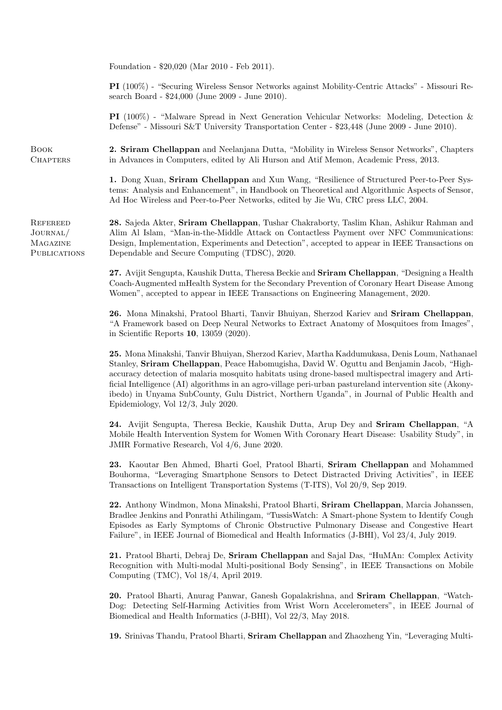Foundation - \$20,020 (Mar 2010 - Feb 2011).

PI (100%) - "Securing Wireless Sensor Networks against Mobility-Centric Attacks" - Missouri Research Board - \$24,000 (June 2009 - June 2010).

PI (100%) - "Malware Spread in Next Generation Vehicular Networks: Modeling, Detection & Defense" - Missouri S&T University Transportation Center - \$23,448 (June 2009 - June 2010).

2. Sriram Chellappan and Neelanjana Dutta, "Mobility in Wireless Sensor Networks", Chapters in Advances in Computers, edited by Ali Hurson and Atif Memon, Academic Press, 2013.

1. Dong Xuan, Sriram Chellappan and Xun Wang, "Resilience of Structured Peer-to-Peer Systems: Analysis and Enhancement", in Handbook on Theoretical and Algorithmic Aspects of Sensor, Ad Hoc Wireless and Peer-to-Peer Networks, edited by Jie Wu, CRC press LLC, 2004.

**REFEREED** Journal/ Magazine **PUBLICATIONS** 

Book **CHAPTERS** 

> 28. Sajeda Akter, Sriram Chellappan, Tushar Chakraborty, Taslim Khan, Ashikur Rahman and Alim Al Islam, "Man-in-the-Middle Attack on Contactless Payment over NFC Communications: Design, Implementation, Experiments and Detection", accepted to appear in IEEE Transactions on Dependable and Secure Computing (TDSC), 2020.

27. Avijit Sengupta, Kaushik Dutta, Theresa Beckie and Sriram Chellappan, "Designing a Health Coach-Augmented mHealth System for the Secondary Prevention of Coronary Heart Disease Among Women", accepted to appear in IEEE Transactions on Engineering Management, 2020.

26. Mona Minakshi, Pratool Bharti, Tanvir Bhuiyan, Sherzod Kariev and Sriram Chellappan, "A Framework based on Deep Neural Networks to Extract Anatomy of Mosquitoes from Images", in Scientific Reports 10, 13059 (2020).

25. Mona Minakshi, Tanvir Bhuiyan, Sherzod Kariev, Martha Kaddumukasa, Denis Loum, Nathanael Stanley, Sriram Chellappan, Peace Habomugisha, David W. Oguttu and Benjamin Jacob, "Highaccuracy detection of malaria mosquito habitats using drone-based multispectral imagery and Artificial Intelligence (AI) algorithms in an agro-village peri-urban pastureland intervention site (Akonyibedo) in Unyama SubCounty, Gulu District, Northern Uganda", in Journal of Public Health and Epidemiology, Vol 12/3, July 2020.

24. Avijit Sengupta, Theresa Beckie, Kaushik Dutta, Arup Dey and Sriram Chellappan, "A Mobile Health Intervention System for Women With Coronary Heart Disease: Usability Study", in JMIR Formative Research, Vol 4/6, June 2020.

23. Kaoutar Ben Ahmed, Bharti Goel, Pratool Bharti, Sriram Chellappan and Mohammed Bouhorma, "Leveraging Smartphone Sensors to Detect Distracted Driving Activities", in IEEE Transactions on Intelligent Transportation Systems (T-ITS), Vol 20/9, Sep 2019.

22. Anthony Windmon, Mona Minakshi, Pratool Bharti, Sriram Chellappan, Marcia Johanssen, Bradlee Jenkins and Ponrathi Athilingam, "TussisWatch: A Smart-phone System to Identify Cough Episodes as Early Symptoms of Chronic Obstructive Pulmonary Disease and Congestive Heart Failure", in IEEE Journal of Biomedical and Health Informatics (J-BHI), Vol 23/4, July 2019.

21. Pratool Bharti, Debraj De, Sriram Chellappan and Sajal Das, "HuMAn: Complex Activity Recognition with Multi-modal Multi-positional Body Sensing", in IEEE Transactions on Mobile Computing (TMC), Vol 18/4, April 2019.

20. Pratool Bharti, Anurag Panwar, Ganesh Gopalakrishna, and Sriram Chellappan, "Watch-Dog: Detecting Self-Harming Activities from Wrist Worn Accelerometers", in IEEE Journal of Biomedical and Health Informatics (J-BHI), Vol 22/3, May 2018.

19. Srinivas Thandu, Pratool Bharti, Sriram Chellappan and Zhaozheng Yin, "Leveraging Multi-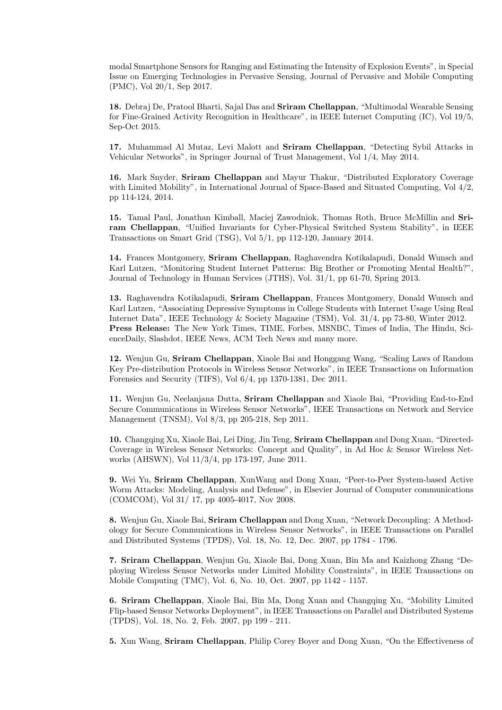modal Smartphone Sensors for Ranging and Estimating the Intensity of Explosion Events", in Special Issue on Emerging Technologies in Pervasive Sensing, Journal of Pervasive and Mobile Computing (PMC), Vol 20/1, Sep 2017.

18. Debraj De, Pratool Bharti, Sajal Das and Sriram Chellappan, "Multimodal Wearable Sensing for Fine-Grained Activity Recognition in Healthcare", in IEEE Internet Computing (IC), Vol 19/5, Sep-Oct 2015.

17. Muhammad Al Mutaz, Levi Malott and Sriram Chellappan, "Detecting Sybil Attacks in Vehicular Networks", in Springer Journal of Trust Management, Vol 1/4, May 2014.

16. Mark Snyder, Sriram Chellappan and Mayur Thakur, "Distributed Exploratory Coverage with Limited Mobility", in International Journal of Space-Based and Situated Computing, Vol 4/2, pp 114-124, 2014.

15. Tamal Paul, Jonathan Kimball, Maciej Zawodniok, Thomas Roth, Bruce McMillin and Sriram Chellappan, "Unified Invariants for Cyber-Physical Switched System Stability", in IEEE Transactions on Smart Grid (TSG), Vol 5/1, pp 112-120, January 2014.

14. Frances Montgomery, Sriram Chellappan, Raghavendra Kotikalapudi, Donald Wunsch and Karl Lutzen, "Monitoring Student Internet Patterns: Big Brother or Promoting Mental Health?", Journal of Technology in Human Services (JTHS), Vol. 31/1, pp 61-70, Spring 2013.

13. Raghavendra Kotikalapudi, Sriram Chellappan, Frances Montgomery, Donald Wunsch and Karl Lutzen, "Associating Depressive Symptoms in College Students with Internet Usage Using Real Internet Data", IEEE Technology & Society Magazine (TSM), Vol. 31/4, pp 73-80, Winter 2012. Press Release: The New York Times, TIME, Forbes, MSNBC, Times of India, The Hindu, ScienceDaily, Slashdot, IEEE News, ACM Tech News and many more.

12. Wenjun Gu, Sriram Chellappan, Xiaole Bai and Honggang Wang, "Scaling Laws of Random Key Pre-distribution Protocols in Wireless Sensor Networks", in IEEE Transactions on Information Forensics and Security (TIFS), Vol 6/4, pp 1370-1381, Dec 2011.

11. Wenjun Gu, Neelanjana Dutta, Sriram Chellappan and Xiaole Bai, "Providing End-to-End Secure Communications in Wireless Sensor Networks", IEEE Transactions on Network and Service Management (TNSM), Vol 8/3, pp 205-218, Sep 2011.

10. Changqing Xu, Xiaole Bai, Lei Ding, Jin Teng, Sriram Chellappan and Dong Xuan, "Directed-Coverage in Wireless Sensor Networks: Concept and Quality", in Ad Hoc & Sensor Wireless Networks (AHSWN), Vol 11/3/4, pp 173-197, June 2011.

9. Wei Yu, Sriram Chellappan, XunWang and Dong Xuan, "Peer-to-Peer System-based Active Worm Attacks: Modeling, Analysis and Defense", in Elsevier Journal of Computer communications (COMCOM), Vol 31/ 17, pp 4005-4017, Nov 2008.

8. Wenjun Gu, Xiaole Bai, Sriram Chellappan and Dong Xuan, "Network Decoupling: A Methodology for Secure Communications in Wireless Sensor Networks", in IEEE Transactions on Parallel and Distributed Systems (TPDS), Vol. 18, No. 12, Dec. 2007, pp 1784 - 1796.

7. Sriram Chellappan, Wenjun Gu, Xiaole Bai, Dong Xuan, Bin Ma and Kaizhong Zhang "Deploying Wireless Sensor Networks under Limited Mobility Constraints", in IEEE Transactions on Mobile Computing (TMC), Vol. 6, No. 10, Oct. 2007, pp 1142 - 1157.

6. Sriram Chellappan, Xiaole Bai, Bin Ma, Dong Xuan and Changqing Xu, "Mobility Limited Flip-based Sensor Networks Deployment", in IEEE Transactions on Parallel and Distributed Systems (TPDS), Vol. 18, No. 2, Feb. 2007, pp 199 - 211.

5. Xun Wang, Sriram Chellappan, Philip Corey Boyer and Dong Xuan, "On the Effectiveness of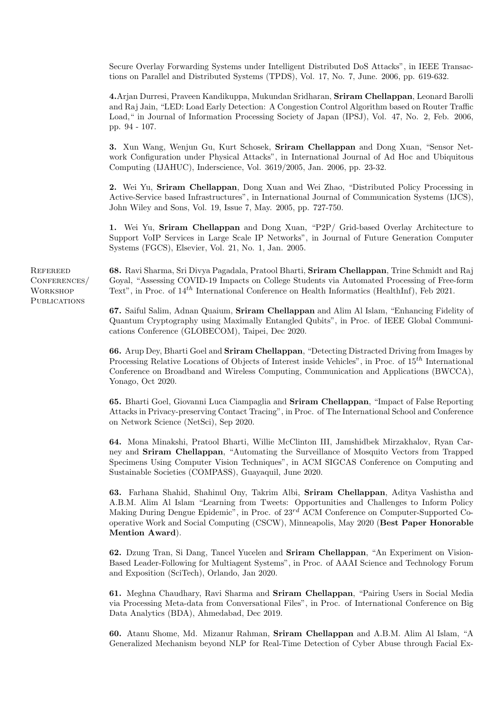Secure Overlay Forwarding Systems under Intelligent Distributed DoS Attacks", in IEEE Transactions on Parallel and Distributed Systems (TPDS), Vol. 17, No. 7, June. 2006, pp. 619-632.

4.Arjan Durresi, Praveen Kandikuppa, Mukundan Sridharan, Sriram Chellappan, Leonard Barolli and Raj Jain, "LED: Load Early Detection: A Congestion Control Algorithm based on Router Traffic Load," in Journal of Information Processing Society of Japan (IPSJ), Vol. 47, No. 2, Feb. 2006, pp. 94 - 107.

3. Xun Wang, Wenjun Gu, Kurt Schosek, Sriram Chellappan and Dong Xuan, "Sensor Network Configuration under Physical Attacks", in International Journal of Ad Hoc and Ubiquitous Computing (IJAHUC), Inderscience, Vol. 3619/2005, Jan. 2006, pp. 23-32.

2. Wei Yu, Sriram Chellappan, Dong Xuan and Wei Zhao, "Distributed Policy Processing in Active-Service based Infrastructures", in International Journal of Communication Systems (IJCS), John Wiley and Sons, Vol. 19, Issue 7, May. 2005, pp. 727-750.

1. Wei Yu, Sriram Chellappan and Dong Xuan, "P2P/ Grid-based Overlay Architecture to Support VoIP Services in Large Scale IP Networks", in Journal of Future Generation Computer Systems (FGCS), Elsevier, Vol. 21, No. 1, Jan. 2005.

**REFEREED** CONFERENCES/ **WORKSHOP PUBLICATIONS** 

68. Ravi Sharma, Sri Divya Pagadala, Pratool Bharti, Sriram Chellappan, Trine Schmidt and Raj Goyal, "Assessing COVID-19 Impacts on College Students via Automated Processing of Free-form Text", in Proc. of  $14^{th}$  International Conference on Health Informatics (HealthInf), Feb 2021.

67. Saiful Salim, Adnan Quaium, Sriram Chellappan and Alim Al Islam, "Enhancing Fidelity of Quantum Cryptography using Maximally Entangled Qubits", in Proc. of IEEE Global Communications Conference (GLOBECOM), Taipei, Dec 2020.

66. Arup Dey, Bharti Goel and Sriram Chellappan, "Detecting Distracted Driving from Images by Processing Relative Locations of Objects of Interest inside Vehicles", in Proc. of  $15<sup>th</sup>$  International Conference on Broadband and Wireless Computing, Communication and Applications (BWCCA), Yonago, Oct 2020.

65. Bharti Goel, Giovanni Luca Ciampaglia and Sriram Chellappan, "Impact of False Reporting Attacks in Privacy-preserving Contact Tracing", in Proc. of The International School and Conference on Network Science (NetSci), Sep 2020.

64. Mona Minakshi, Pratool Bharti, Willie McClinton III, Jamshidbek Mirzakhalov, Ryan Carney and Sriram Chellappan, "Automating the Surveillance of Mosquito Vectors from Trapped Specimens Using Computer Vision Techniques", in ACM SIGCAS Conference on Computing and Sustainable Societies (COMPASS), Guayaquil, June 2020.

63. Farhana Shahid, Shahinul Ony, Takrim Albi, Sriram Chellappan, Aditya Vashistha and A.B.M. Alim Al Islam "Learning from Tweets: Opportunities and Challenges to Inform Policy Making During Dengue Epidemic", in Proc. of  $23^{rd}$  ACM Conference on Computer-Supported Cooperative Work and Social Computing (CSCW), Minneapolis, May 2020 (Best Paper Honorable Mention Award).

62. Dzung Tran, Si Dang, Tancel Yucelen and Sriram Chellappan, "An Experiment on Vision-Based Leader-Following for Multiagent Systems", in Proc. of AAAI Science and Technology Forum and Exposition (SciTech), Orlando, Jan 2020.

61. Meghna Chaudhary, Ravi Sharma and Sriram Chellappan, "Pairing Users in Social Media via Processing Meta-data from Conversational Files", in Proc. of International Conference on Big Data Analytics (BDA), Ahmedabad, Dec 2019.

60. Atanu Shome, Md. Mizanur Rahman, Sriram Chellappan and A.B.M. Alim Al Islam, "A Generalized Mechanism beyond NLP for Real-Time Detection of Cyber Abuse through Facial Ex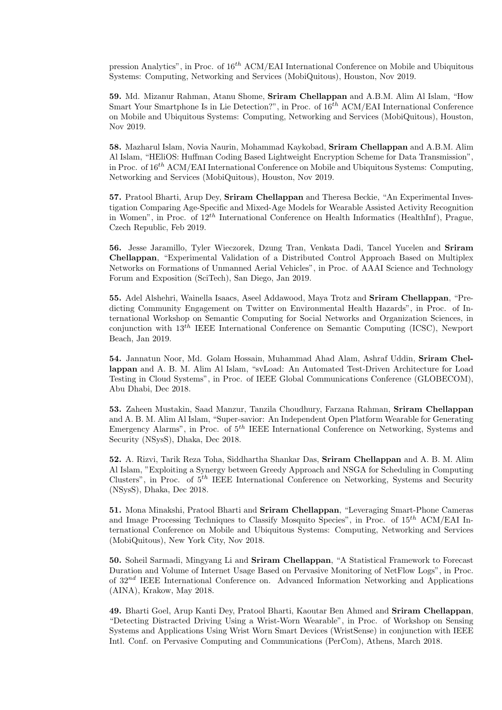pression Analytics", in Proc. of  $16^{th}$  ACM/EAI International Conference on Mobile and Ubiquitous Systems: Computing, Networking and Services (MobiQuitous), Houston, Nov 2019.

59. Md. Mizanur Rahman, Atanu Shome, Sriram Chellappan and A.B.M. Alim Al Islam, "How Smart Your Smartphone Is in Lie Detection?", in Proc. of  $16^{th}$  ACM/EAI International Conference on Mobile and Ubiquitous Systems: Computing, Networking and Services (MobiQuitous), Houston, Nov 2019.

58. Mazharul Islam, Novia Naurin, Mohammad Kaykobad, Sriram Chellappan and A.B.M. Alim Al Islam, "HEliOS: Huffman Coding Based Lightweight Encryption Scheme for Data Transmission", in Proc. of  $16^{th}$  ACM/EAI International Conference on Mobile and Ubiquitous Systems: Computing, Networking and Services (MobiQuitous), Houston, Nov 2019.

57. Pratool Bharti, Arup Dey, Sriram Chellappan and Theresa Beckie, "An Experimental Investigation Comparing Age-Specific and Mixed-Age Models for Wearable Assisted Activity Recognition in Women", in Proc. of  $12^{th}$  International Conference on Health Informatics (HealthInf), Prague, Czech Republic, Feb 2019.

56. Jesse Jaramillo, Tyler Wieczorek, Dzung Tran, Venkata Dadi, Tancel Yucelen and Sriram Chellappan, "Experimental Validation of a Distributed Control Approach Based on Multiplex Networks on Formations of Unmanned Aerial Vehicles", in Proc. of AAAI Science and Technology Forum and Exposition (SciTech), San Diego, Jan 2019.

55. Adel Alshehri, Wainella Isaacs, Aseel Addawood, Maya Trotz and Sriram Chellappan, "Predicting Community Engagement on Twitter on Environmental Health Hazards", in Proc. of International Workshop on Semantic Computing for Social Networks and Organization Sciences, in conjunction with  $13^{th}$  IEEE International Conference on Semantic Computing (ICSC), Newport Beach, Jan 2019.

54. Jannatun Noor, Md. Golam Hossain, Muhammad Ahad Alam, Ashraf Uddin, Sriram Chellappan and A. B. M. Alim Al Islam, "svLoad: An Automated Test-Driven Architecture for Load Testing in Cloud Systems", in Proc. of IEEE Global Communications Conference (GLOBECOM), Abu Dhabi, Dec 2018.

53. Zaheen Mustakin, Saad Manzur, Tanzila Choudhury, Farzana Rahman, Sriram Chellappan and A. B. M. Alim Al Islam, "Super-savior: An Independent Open Platform Wearable for Generating Emergency Alarms", in Proc. of  $5<sup>th</sup>$  IEEE International Conference on Networking, Systems and Security (NSysS), Dhaka, Dec 2018.

52. A. Rizvi, Tarik Reza Toha, Siddhartha Shankar Das, Sriram Chellappan and A. B. M. Alim Al Islam, "Exploiting a Synergy between Greedy Approach and NSGA for Scheduling in Computing Clusters", in Proc. of  $5<sup>th</sup>$  IEEE International Conference on Networking, Systems and Security (NSysS), Dhaka, Dec 2018.

51. Mona Minakshi, Pratool Bharti and Sriram Chellappan, "Leveraging Smart-Phone Cameras and Image Processing Techniques to Classify Mosquito Species", in Proc. of  $15^{th}$  ACM/EAI International Conference on Mobile and Ubiquitous Systems: Computing, Networking and Services (MobiQuitous), New York City, Nov 2018.

50. Soheil Sarmadi, Mingyang Li and Sriram Chellappan, "A Statistical Framework to Forecast Duration and Volume of Internet Usage Based on Pervasive Monitoring of NetFlow Logs", in Proc. of  $32^{nd}$  IEEE International Conference on. Advanced Information Networking and Applications (AINA), Krakow, May 2018.

49. Bharti Goel, Arup Kanti Dey, Pratool Bharti, Kaoutar Ben Ahmed and Sriram Chellappan, "Detecting Distracted Driving Using a Wrist-Worn Wearable", in Proc. of Workshop on Sensing Systems and Applications Using Wrist Worn Smart Devices (WristSense) in conjunction with IEEE Intl. Conf. on Pervasive Computing and Communications (PerCom), Athens, March 2018.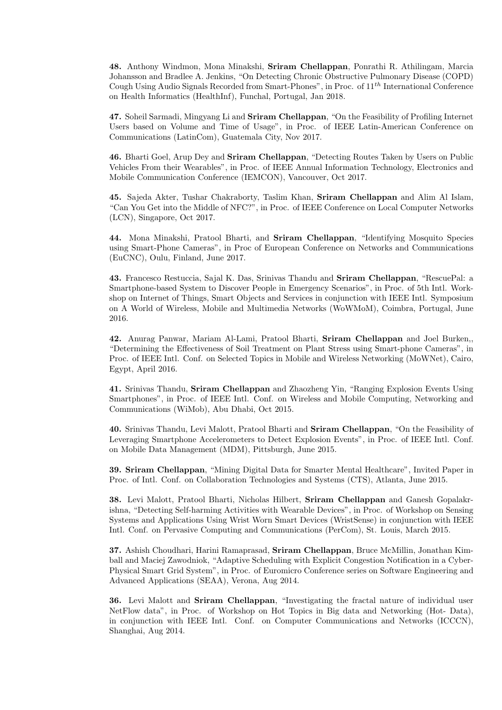48. Anthony Windmon, Mona Minakshi, Sriram Chellappan, Ponrathi R. Athilingam, Marcia Johansson and Bradlee A. Jenkins, "On Detecting Chronic Obstructive Pulmonary Disease (COPD) Cough Using Audio Signals Recorded from Smart-Phones", in Proc. of  $11^{th}$  International Conference on Health Informatics (HealthInf), Funchal, Portugal, Jan 2018.

47. Soheil Sarmadi, Mingyang Li and Sriram Chellappan, "On the Feasibility of Profiling Internet Users based on Volume and Time of Usage", in Proc. of IEEE Latin-American Conference on Communications (LatinCom), Guatemala City, Nov 2017.

46. Bharti Goel, Arup Dey and Sriram Chellappan, "Detecting Routes Taken by Users on Public Vehicles From their Wearables", in Proc. of IEEE Annual Information Technology, Electronics and Mobile Communication Conference (IEMCON), Vancouver, Oct 2017.

45. Sajeda Akter, Tushar Chakraborty, Taslim Khan, Sriram Chellappan and Alim Al Islam, "Can You Get into the Middle of NFC?", in Proc. of IEEE Conference on Local Computer Networks (LCN), Singapore, Oct 2017.

44. Mona Minakshi, Pratool Bharti, and Sriram Chellappan, "Identifying Mosquito Species using Smart-Phone Cameras", in Proc of European Conference on Networks and Communications (EuCNC), Oulu, Finland, June 2017.

43. Francesco Restuccia, Sajal K. Das, Srinivas Thandu and Sriram Chellappan, "RescuePal: a Smartphone-based System to Discover People in Emergency Scenarios", in Proc. of 5th Intl. Workshop on Internet of Things, Smart Objects and Services in conjunction with IEEE Intl. Symposium on A World of Wireless, Mobile and Multimedia Networks (WoWMoM), Coimbra, Portugal, June 2016.

42. Anurag Panwar, Mariam Al-Lami, Pratool Bharti, Sriram Chellappan and Joel Burken,, "Determining the Effectiveness of Soil Treatment on Plant Stress using Smart-phone Cameras", in Proc. of IEEE Intl. Conf. on Selected Topics in Mobile and Wireless Networking (MoWNet), Cairo, Egypt, April 2016.

41. Srinivas Thandu, Sriram Chellappan and Zhaozheng Yin, "Ranging Explosion Events Using Smartphones", in Proc. of IEEE Intl. Conf. on Wireless and Mobile Computing, Networking and Communications (WiMob), Abu Dhabi, Oct 2015.

40. Srinivas Thandu, Levi Malott, Pratool Bharti and Sriram Chellappan, "On the Feasibility of Leveraging Smartphone Accelerometers to Detect Explosion Events", in Proc. of IEEE Intl. Conf. on Mobile Data Management (MDM), Pittsburgh, June 2015.

39. Sriram Chellappan, "Mining Digital Data for Smarter Mental Healthcare", Invited Paper in Proc. of Intl. Conf. on Collaboration Technologies and Systems (CTS), Atlanta, June 2015.

38. Levi Malott, Pratool Bharti, Nicholas Hilbert, Sriram Chellappan and Ganesh Gopalakrishna, "Detecting Self-harming Activities with Wearable Devices", in Proc. of Workshop on Sensing Systems and Applications Using Wrist Worn Smart Devices (WristSense) in conjunction with IEEE Intl. Conf. on Pervasive Computing and Communications (PerCom), St. Louis, March 2015.

37. Ashish Choudhari, Harini Ramaprasad, Sriram Chellappan, Bruce McMillin, Jonathan Kimball and Maciej Zawodniok, "Adaptive Scheduling with Explicit Congestion Notification in a Cyber-Physical Smart Grid System", in Proc. of Euromicro Conference series on Software Engineering and Advanced Applications (SEAA), Verona, Aug 2014.

36. Levi Malott and Sriram Chellappan, "Investigating the fractal nature of individual user NetFlow data", in Proc. of Workshop on Hot Topics in Big data and Networking (Hot- Data), in conjunction with IEEE Intl. Conf. on Computer Communications and Networks (ICCCN), Shanghai, Aug 2014.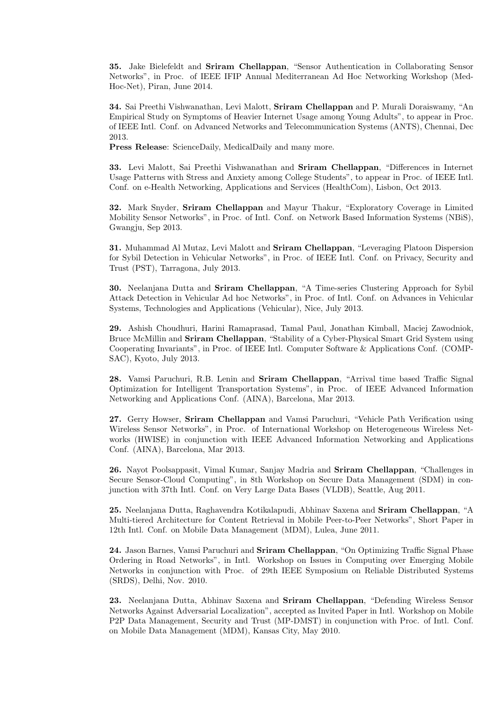35. Jake Bielefeldt and Sriram Chellappan, "Sensor Authentication in Collaborating Sensor Networks", in Proc. of IEEE IFIP Annual Mediterranean Ad Hoc Networking Workshop (Med-Hoc-Net), Piran, June 2014.

34. Sai Preethi Vishwanathan, Levi Malott, Sriram Chellappan and P. Murali Doraiswamy, "An Empirical Study on Symptoms of Heavier Internet Usage among Young Adults", to appear in Proc. of IEEE Intl. Conf. on Advanced Networks and Telecommunication Systems (ANTS), Chennai, Dec 2013.

Press Release: ScienceDaily, MedicalDaily and many more.

33. Levi Malott, Sai Preethi Vishwanathan and Sriram Chellappan, "Differences in Internet Usage Patterns with Stress and Anxiety among College Students", to appear in Proc. of IEEE Intl. Conf. on e-Health Networking, Applications and Services (HealthCom), Lisbon, Oct 2013.

32. Mark Snyder, Sriram Chellappan and Mayur Thakur, "Exploratory Coverage in Limited Mobility Sensor Networks", in Proc. of Intl. Conf. on Network Based Information Systems (NBiS), Gwangju, Sep 2013.

31. Muhammad Al Mutaz, Levi Malott and Sriram Chellappan, "Leveraging Platoon Dispersion for Sybil Detection in Vehicular Networks", in Proc. of IEEE Intl. Conf. on Privacy, Security and Trust (PST), Tarragona, July 2013.

30. Neelanjana Dutta and Sriram Chellappan, "A Time-series Clustering Approach for Sybil Attack Detection in Vehicular Ad hoc Networks", in Proc. of Intl. Conf. on Advances in Vehicular Systems, Technologies and Applications (Vehicular), Nice, July 2013.

29. Ashish Choudhuri, Harini Ramaprasad, Tamal Paul, Jonathan Kimball, Maciej Zawodniok, Bruce McMillin and Sriram Chellappan, "Stability of a Cyber-Physical Smart Grid System using Cooperating Invariants", in Proc. of IEEE Intl. Computer Software & Applications Conf. (COMP-SAC), Kyoto, July 2013.

28. Vamsi Paruchuri, R.B. Lenin and Sriram Chellappan, "Arrival time based Traffic Signal Optimization for Intelligent Transportation Systems", in Proc. of IEEE Advanced Information Networking and Applications Conf. (AINA), Barcelona, Mar 2013.

27. Gerry Howser, Sriram Chellappan and Vamsi Paruchuri, "Vehicle Path Verification using Wireless Sensor Networks", in Proc. of International Workshop on Heterogeneous Wireless Networks (HWISE) in conjunction with IEEE Advanced Information Networking and Applications Conf. (AINA), Barcelona, Mar 2013.

26. Nayot Poolsappasit, Vimal Kumar, Sanjay Madria and Sriram Chellappan, "Challenges in Secure Sensor-Cloud Computing", in 8th Workshop on Secure Data Management (SDM) in conjunction with 37th Intl. Conf. on Very Large Data Bases (VLDB), Seattle, Aug 2011.

25. Neelanjana Dutta, Raghavendra Kotikalapudi, Abhinav Saxena and Sriram Chellappan, "A Multi-tiered Architecture for Content Retrieval in Mobile Peer-to-Peer Networks", Short Paper in 12th Intl. Conf. on Mobile Data Management (MDM), Lulea, June 2011.

24. Jason Barnes, Vamsi Paruchuri and Sriram Chellappan, "On Optimizing Traffic Signal Phase Ordering in Road Networks", in Intl. Workshop on Issues in Computing over Emerging Mobile Networks in conjunction with Proc. of 29th IEEE Symposium on Reliable Distributed Systems (SRDS), Delhi, Nov. 2010.

23. Neelanjana Dutta, Abhinav Saxena and Sriram Chellappan, "Defending Wireless Sensor Networks Against Adversarial Localization", accepted as Invited Paper in Intl. Workshop on Mobile P2P Data Management, Security and Trust (MP-DMST) in conjunction with Proc. of Intl. Conf. on Mobile Data Management (MDM), Kansas City, May 2010.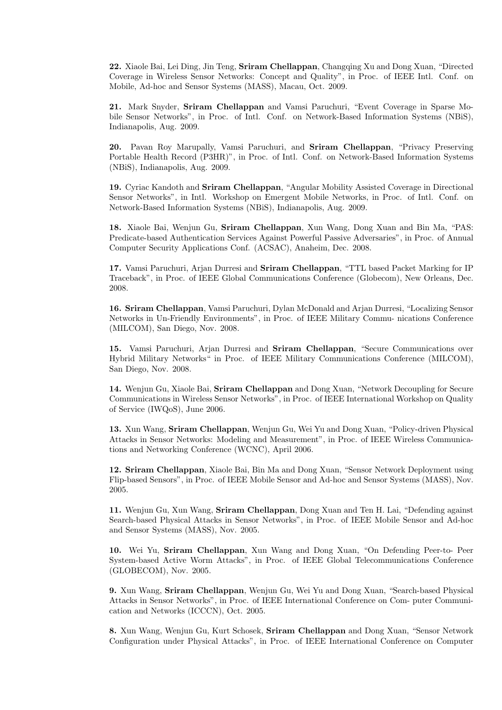22. Xiaole Bai, Lei Ding, Jin Teng, Sriram Chellappan, Changqing Xu and Dong Xuan, "Directed Coverage in Wireless Sensor Networks: Concept and Quality", in Proc. of IEEE Intl. Conf. on Mobile, Ad-hoc and Sensor Systems (MASS), Macau, Oct. 2009.

21. Mark Snyder, Sriram Chellappan and Vamsi Paruchuri, "Event Coverage in Sparse Mobile Sensor Networks", in Proc. of Intl. Conf. on Network-Based Information Systems (NBiS), Indianapolis, Aug. 2009.

20. Pavan Roy Marupally, Vamsi Paruchuri, and Sriram Chellappan, "Privacy Preserving Portable Health Record (P3HR)", in Proc. of Intl. Conf. on Network-Based Information Systems (NBiS), Indianapolis, Aug. 2009.

19. Cyriac Kandoth and Sriram Chellappan, "Angular Mobility Assisted Coverage in Directional Sensor Networks", in Intl. Workshop on Emergent Mobile Networks, in Proc. of Intl. Conf. on Network-Based Information Systems (NBiS), Indianapolis, Aug. 2009.

18. Xiaole Bai, Wenjun Gu, Sriram Chellappan, Xun Wang, Dong Xuan and Bin Ma, "PAS: Predicate-based Authentication Services Against Powerful Passive Adversaries", in Proc. of Annual Computer Security Applications Conf. (ACSAC), Anaheim, Dec. 2008.

17. Vamsi Paruchuri, Arjan Durresi and Sriram Chellappan, "TTL based Packet Marking for IP Traceback", in Proc. of IEEE Global Communications Conference (Globecom), New Orleans, Dec. 2008.

16. Sriram Chellappan, Vamsi Paruchuri, Dylan McDonald and Arjan Durresi, "Localizing Sensor Networks in Un-Friendly Environments", in Proc. of IEEE Military Commu- nications Conference (MILCOM), San Diego, Nov. 2008.

15. Vamsi Paruchuri, Arjan Durresi and Sriram Chellappan, "Secure Communications over Hybrid Military Networks" in Proc. of IEEE Military Communications Conference (MILCOM), San Diego, Nov. 2008.

14. Wenjun Gu, Xiaole Bai, Sriram Chellappan and Dong Xuan, "Network Decoupling for Secure Communications in Wireless Sensor Networks", in Proc. of IEEE International Workshop on Quality of Service (IWQoS), June 2006.

13. Xun Wang, Sriram Chellappan, Wenjun Gu, Wei Yu and Dong Xuan, "Policy-driven Physical Attacks in Sensor Networks: Modeling and Measurement", in Proc. of IEEE Wireless Communications and Networking Conference (WCNC), April 2006.

12. Sriram Chellappan, Xiaole Bai, Bin Ma and Dong Xuan, "Sensor Network Deployment using Flip-based Sensors", in Proc. of IEEE Mobile Sensor and Ad-hoc and Sensor Systems (MASS), Nov. 2005.

11. Wenjun Gu, Xun Wang, Sriram Chellappan, Dong Xuan and Ten H. Lai, "Defending against Search-based Physical Attacks in Sensor Networks", in Proc. of IEEE Mobile Sensor and Ad-hoc and Sensor Systems (MASS), Nov. 2005.

10. Wei Yu, Sriram Chellappan, Xun Wang and Dong Xuan, "On Defending Peer-to- Peer System-based Active Worm Attacks", in Proc. of IEEE Global Telecommunications Conference (GLOBECOM), Nov. 2005.

9. Xun Wang, Sriram Chellappan, Wenjun Gu, Wei Yu and Dong Xuan, "Search-based Physical Attacks in Sensor Networks", in Proc. of IEEE International Conference on Com- puter Communication and Networks (ICCCN), Oct. 2005.

8. Xun Wang, Wenjun Gu, Kurt Schosek, Sriram Chellappan and Dong Xuan, "Sensor Network Configuration under Physical Attacks", in Proc. of IEEE International Conference on Computer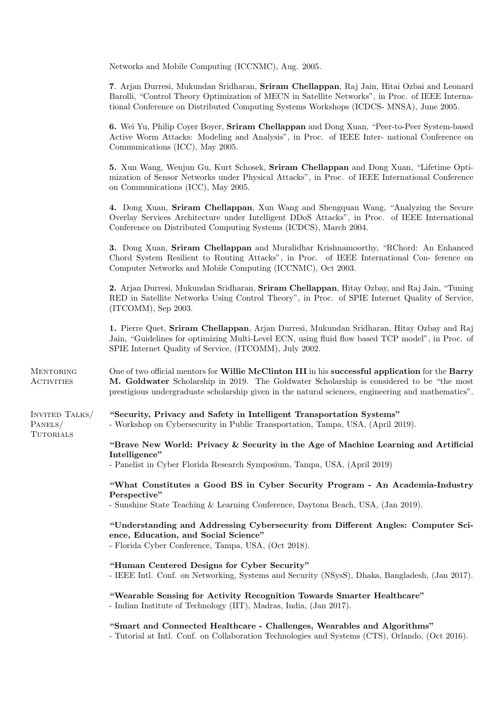|                                       | Networks and Mobile Computing (ICCNMC), Aug. 2005.                                                                                                                                                                                                                                                  |  |  |
|---------------------------------------|-----------------------------------------------------------------------------------------------------------------------------------------------------------------------------------------------------------------------------------------------------------------------------------------------------|--|--|
|                                       | 7. Arjan Durresi, Mukundan Sridharan, Sriram Chellappan, Raj Jain, Hitai Ozbai and Leonard<br>Barolli, "Control Theory Optimization of MECN in Satellite Networks", in Proc. of IEEE Interna-<br>tional Conference on Distributed Computing Systems Workshops (ICDCS- MNSA), June 2005.             |  |  |
|                                       | 6. Wei Yu, Philip Coyer Boyer, Sriram Chellappan and Dong Xuan, "Peer-to-Peer System-based<br>Active Worm Attacks: Modeling and Analysis", in Proc. of IEEE Inter- national Conference on<br>Communications (ICC), May 2005.                                                                        |  |  |
|                                       | 5. Xun Wang, Wenjun Gu, Kurt Schosek, Sriram Chellappan and Dong Xuan, "Lifetime Opti-<br>mization of Sensor Networks under Physical Attacks", in Proc. of IEEE International Conference<br>on Communications (ICC), May 2005.                                                                      |  |  |
|                                       | 4. Dong Xuan, Sriram Chellappan, Xun Wang and Shengquan Wang, "Analyzing the Secure<br>Overlay Services Architecture under Intelligent DDoS Attacks", in Proc. of IEEE International<br>Conference on Distributed Computing Systems (ICDCS), March 2004.                                            |  |  |
|                                       | 3. Dong Xuan, Sriram Chellappan and Muralidhar Krishnamoorthy, "RChord: An Enhanced<br>Chord System Resilient to Routing Attacks", in Proc. of IEEE International Con-ference on<br>Computer Networks and Mobile Computing (ICCNMC), Oct 2003.                                                      |  |  |
|                                       | 2. Arjan Durresi, Mukundan Sridharan, Sriram Chellappan, Hitay Ozbay, and Raj Jain, "Tuning<br>RED in Satellite Networks Using Control Theory", in Proc. of SPIE Internet Quality of Service,<br>$(ITCOMM),$ Sep 2003.                                                                              |  |  |
|                                       | 1. Pierre Quet, Sriram Chellappan, Arjan Durresi, Mukundan Sridharan, Hitay Ozbay and Raj<br>Jain, "Guidelines for optimizing Multi-Level ECN, using fluid flow based TCP model", in Proc. of<br>SPIE Internet Quality of Service, (ITCOMM), July 2002.                                             |  |  |
| <b>MENTORING</b><br><b>ACTIVITIES</b> | One of two official mentors for Willie McClinton III in his successful application for the Barry<br>M. Goldwater Scholarship in 2019. The Goldwater Scholarship is considered to be "the most<br>prestigious undergraduate scholarship given in the natural sciences, engineering and mathematics". |  |  |
| INVITED TALKS/<br>PANELS/             | "Security, Privacy and Safety in Intelligent Transportation Systems"<br>- Workshop on Cybersecurity in Public Transportation, Tampa, USA, (April 2019).                                                                                                                                             |  |  |
| TUTORIALS                             | "Brave New World: Privacy & Security in the Age of Machine Learning and Artificial                                                                                                                                                                                                                  |  |  |
|                                       | Intelligence"<br>- Panelist in Cyber Florida Research Symposium, Tampa, USA, (April 2019)                                                                                                                                                                                                           |  |  |
|                                       | "What Constitutes a Good BS in Cyber Security Program - An Academia-Industry                                                                                                                                                                                                                        |  |  |
|                                       | Perspective"<br>- Sunshine State Teaching & Learning Conference, Daytona Beach, USA, (Jan 2019).                                                                                                                                                                                                    |  |  |
|                                       | "Understanding and Addressing Cybersecurity from Different Angles: Computer Sci-<br>ence, Education, and Social Science"<br>- Florida Cyber Conference, Tampa, USA, (Oct 2018).                                                                                                                     |  |  |
|                                       | "Human Centered Designs for Cyber Security"<br>- IEEE Intl. Conf. on Networking, Systems and Security (NSysS), Dhaka, Bangladesh, (Jan 2017).                                                                                                                                                       |  |  |
|                                       | "Wearable Sensing for Activity Recognition Towards Smarter Healthcare"<br>- Indian Institute of Technology (IIT), Madras, India, (Jan 2017).                                                                                                                                                        |  |  |
|                                       | "Smart and Connected Healthcare - Challenges, Wearables and Algorithms"<br>- Tutorial at Intl. Conf. on Collaboration Technologies and Systems (CTS), Orlando, (Oct 2016).                                                                                                                          |  |  |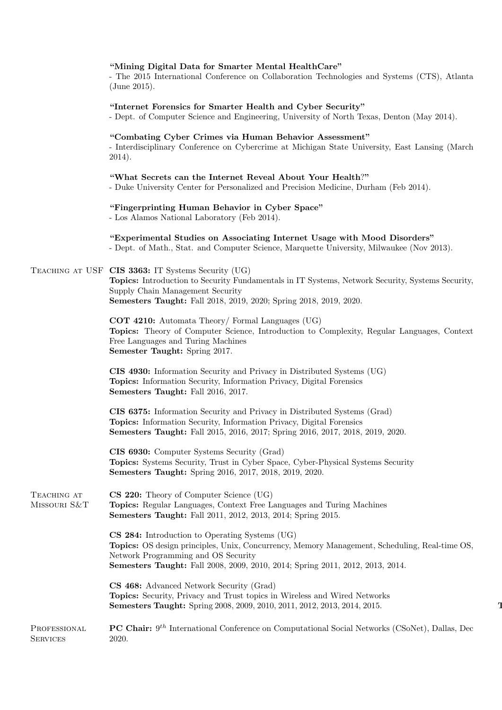# "Mining Digital Data for Smarter Mental HealthCare"

- The 2015 International Conference on Collaboration Technologies and Systems (CTS), Atlanta (June 2015).

"Internet Forensics for Smarter Health and Cyber Security"

- Dept. of Computer Science and Engineering, University of North Texas, Denton (May 2014).

### "Combating Cyber Crimes via Human Behavior Assessment"

- Interdisciplinary Conference on Cybercrime at Michigan State University, East Lansing (March 2014).

"What Secrets can the Internet Reveal About Your Health?"

- Duke University Center for Personalized and Precision Medicine, Durham (Feb 2014).

"Fingerprinting Human Behavior in Cyber Space"

- Los Alamos National Laboratory (Feb 2014).

"Experimental Studies on Associating Internet Usage with Mood Disorders" - Dept. of Math., Stat. and Computer Science, Marquette University, Milwaukee (Nov 2013).

# Teaching at USF CIS 3363: IT Systems Security (UG)

Topics: Introduction to Security Fundamentals in IT Systems, Network Security, Systems Security, Supply Chain Management Security Semesters Taught: Fall 2018, 2019, 2020; Spring 2018, 2019, 2020.

COT 4210: Automata Theory/ Formal Languages (UG) Topics: Theory of Computer Science, Introduction to Complexity, Regular Languages, Context Free Languages and Turing Machines Semester Taught: Spring 2017.

CIS 4930: Information Security and Privacy in Distributed Systems (UG) Topics: Information Security, Information Privacy, Digital Forensics Semesters Taught: Fall 2016, 2017.

CIS 6375: Information Security and Privacy in Distributed Systems (Grad) Topics: Information Security, Information Privacy, Digital Forensics Semesters Taught: Fall 2015, 2016, 2017; Spring 2016, 2017, 2018, 2019, 2020.

CIS 6930: Computer Systems Security (Grad) Topics: Systems Security, Trust in Cyber Space, Cyber-Physical Systems Security Semesters Taught: Spring 2016, 2017, 2018, 2019, 2020.

TEACHING AT Missouri S&T CS 220: Theory of Computer Science (UG) Topics: Regular Languages, Context Free Languages and Turing Machines Semesters Taught: Fall 2011, 2012, 2013, 2014; Spring 2015.

> CS 284: Introduction to Operating Systems (UG) Topics: OS design principles, Unix, Concurrency, Memory Management, Scheduling, Real-time OS, Network Programming and OS Security Semesters Taught: Fall 2008, 2009, 2010, 2014; Spring 2011, 2012, 2013, 2014.

CS 468: Advanced Network Security (Grad) Topics: Security, Privacy and Trust topics in Wireless and Wired Networks Semesters Taught: Spring 2008, 2009, 2010, 2011, 2012, 2013, 2014, 2015.

PROFESSIONAL **SERVICES PC Chair:** 9<sup>th</sup> International Conference on Computational Social Networks (CSoNet), Dallas, Dec 2020.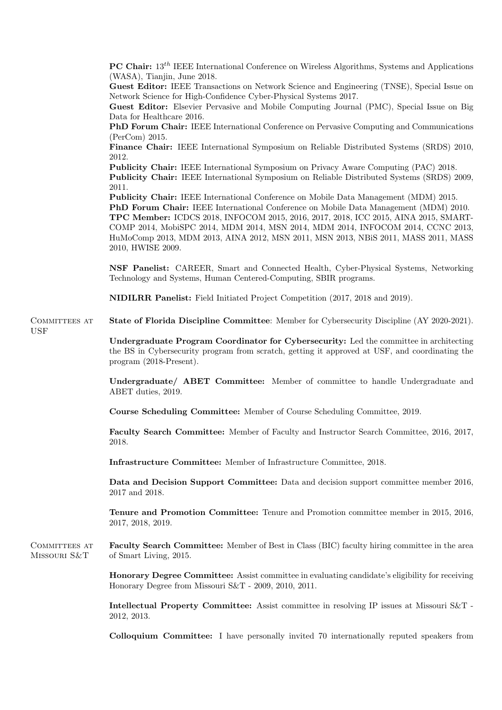**PC Chair:**  $13^{th}$  IEEE International Conference on Wireless Algorithms, Systems and Applications (WASA), Tianjin, June 2018. Guest Editor: IEEE Transactions on Network Science and Engineering (TNSE), Special Issue on Network Science for High-Confidence Cyber-Physical Systems 2017. Guest Editor: Elsevier Pervasive and Mobile Computing Journal (PMC), Special Issue on Big Data for Healthcare 2016. PhD Forum Chair: IEEE International Conference on Pervasive Computing and Communications (PerCom) 2015. Finance Chair: IEEE International Symposium on Reliable Distributed Systems (SRDS) 2010, 2012. Publicity Chair: IEEE International Symposium on Privacy Aware Computing (PAC) 2018. Publicity Chair: IEEE International Symposium on Reliable Distributed Systems (SRDS) 2009, 2011. Publicity Chair: IEEE International Conference on Mobile Data Management (MDM) 2015. PhD Forum Chair: IEEE International Conference on Mobile Data Management (MDM) 2010. TPC Member: ICDCS 2018, INFOCOM 2015, 2016, 2017, 2018, ICC 2015, AINA 2015, SMART-COMP 2014, MobiSPC 2014, MDM 2014, MSN 2014, MDM 2014, INFOCOM 2014, CCNC 2013, HuMoComp 2013, MDM 2013, AINA 2012, MSN 2011, MSN 2013, NBiS 2011, MASS 2011, MASS 2010, HWISE 2009. NSF Panelist: CAREER, Smart and Connected Health, Cyber-Physical Systems, Networking Technology and Systems, Human Centered-Computing, SBIR programs. NIDILRR Panelist: Field Initiated Project Competition (2017, 2018 and 2019). COMMITTEES AT USF State of Florida Discipline Committee: Member for Cybersecurity Discipline (AY 2020-2021). Undergraduate Program Coordinator for Cybersecurity: Led the committee in architecting the BS in Cybersecurity program from scratch, getting it approved at USF, and coordinating the program (2018-Present). Undergraduate/ ABET Committee: Member of committee to handle Undergraduate and ABET duties, 2019. Course Scheduling Committee: Member of Course Scheduling Committee, 2019. Faculty Search Committee: Member of Faculty and Instructor Search Committee, 2016, 2017, 2018. Infrastructure Committee: Member of Infrastructure Committee, 2018. Data and Decision Support Committee: Data and decision support committee member 2016, 2017 and 2018. Tenure and Promotion Committee: Tenure and Promotion committee member in 2015, 2016, 2017, 2018, 2019. COMMITTEES AT Missouri S&T Faculty Search Committee: Member of Best in Class (BIC) faculty hiring committee in the area of Smart Living, 2015. Honorary Degree Committee: Assist committee in evaluating candidate's eligibility for receiving Honorary Degree from Missouri S&T - 2009, 2010, 2011. Intellectual Property Committee: Assist committee in resolving IP issues at Missouri S&T - 2012, 2013. Colloquium Committee: I have personally invited 70 internationally reputed speakers from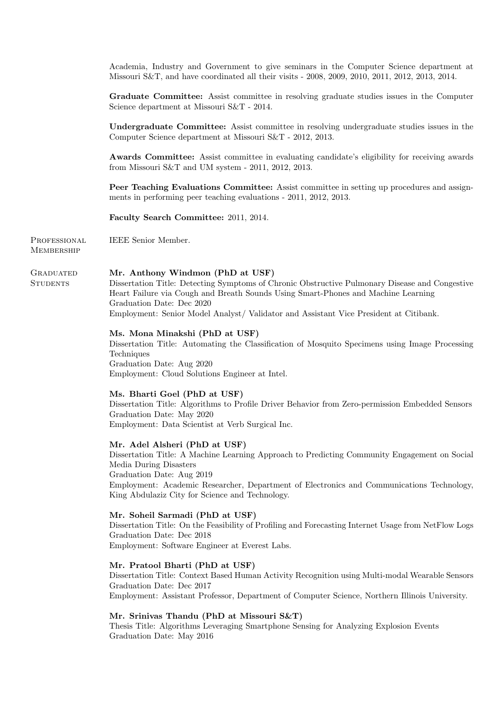Academia, Industry and Government to give seminars in the Computer Science department at Missouri S&T, and have coordinated all their visits - 2008, 2009, 2010, 2011, 2012, 2013, 2014.

Graduate Committee: Assist committee in resolving graduate studies issues in the Computer Science department at Missouri S&T - 2014.

Undergraduate Committee: Assist committee in resolving undergraduate studies issues in the Computer Science department at Missouri S&T - 2012, 2013.

Awards Committee: Assist committee in evaluating candidate's eligibility for receiving awards from Missouri S&T and UM system - 2011, 2012, 2013.

Peer Teaching Evaluations Committee: Assist committee in setting up procedures and assignments in performing peer teaching evaluations - 2011, 2012, 2013.

Faculty Search Committee: 2011, 2014.

PROFESSIONAL **MEMBERSHIP** IEEE Senior Member.

**STUDENTS** 

#### **GRADUATED** Mr. Anthony Windmon (PhD at USF)

Dissertation Title: Detecting Symptoms of Chronic Obstructive Pulmonary Disease and Congestive Heart Failure via Cough and Breath Sounds Using Smart-Phones and Machine Learning Graduation Date: Dec 2020 Employment: Senior Model Analyst/ Validator and Assistant Vice President at Citibank.

#### Ms. Mona Minakshi (PhD at USF)

Dissertation Title: Automating the Classification of Mosquito Specimens using Image Processing Techniques Graduation Date: Aug 2020 Employment: Cloud Solutions Engineer at Intel.

#### Ms. Bharti Goel (PhD at USF)

Dissertation Title: Algorithms to Profile Driver Behavior from Zero-permission Embedded Sensors Graduation Date: May 2020 Employment: Data Scientist at Verb Surgical Inc.

### Mr. Adel Alsheri (PhD at USF)

Dissertation Title: A Machine Learning Approach to Predicting Community Engagement on Social Media During Disasters Graduation Date: Aug 2019 Employment: Academic Researcher, Department of Electronics and Communications Technology, King Abdulaziz City for Science and Technology.

#### Mr. Soheil Sarmadi (PhD at USF)

Dissertation Title: On the Feasibility of Profiling and Forecasting Internet Usage from NetFlow Logs Graduation Date: Dec 2018 Employment: Software Engineer at Everest Labs.

#### Mr. Pratool Bharti (PhD at USF)

Dissertation Title: Context Based Human Activity Recognition using Multi-modal Wearable Sensors Graduation Date: Dec 2017 Employment: Assistant Professor, Department of Computer Science, Northern Illinois University.

# Mr. Srinivas Thandu (PhD at Missouri S&T)

Thesis Title: Algorithms Leveraging Smartphone Sensing for Analyzing Explosion Events Graduation Date: May 2016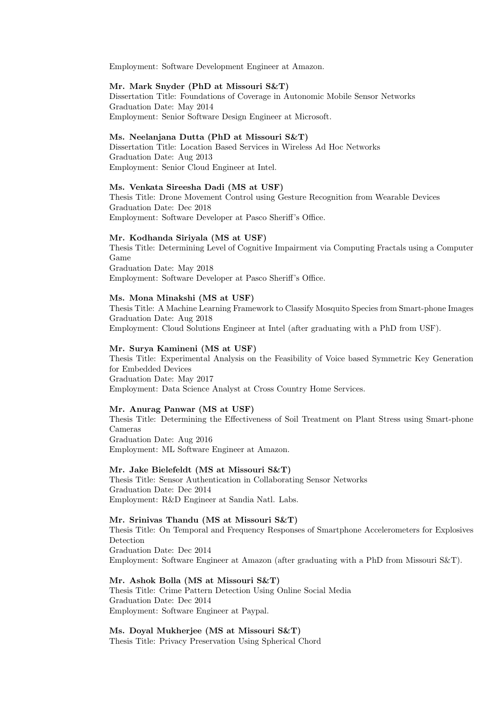Employment: Software Development Engineer at Amazon.

### Mr. Mark Snyder (PhD at Missouri S&T)

Dissertation Title: Foundations of Coverage in Autonomic Mobile Sensor Networks Graduation Date: May 2014 Employment: Senior Software Design Engineer at Microsoft.

#### Ms. Neelanjana Dutta (PhD at Missouri S&T)

Dissertation Title: Location Based Services in Wireless Ad Hoc Networks Graduation Date: Aug 2013 Employment: Senior Cloud Engineer at Intel.

# Ms. Venkata Sireesha Dadi (MS at USF)

Thesis Title: Drone Movement Control using Gesture Recognition from Wearable Devices Graduation Date: Dec 2018 Employment: Software Developer at Pasco Sheriff's Office.

# Mr. Kodhanda Siriyala (MS at USF)

Thesis Title: Determining Level of Cognitive Impairment via Computing Fractals using a Computer Game Graduation Date: May 2018 Employment: Software Developer at Pasco Sheriff's Office.

### Ms. Mona Minakshi (MS at USF)

Thesis Title: A Machine Learning Framework to Classify Mosquito Species from Smart-phone Images Graduation Date: Aug 2018 Employment: Cloud Solutions Engineer at Intel (after graduating with a PhD from USF).

# Mr. Surya Kamineni (MS at USF)

Thesis Title: Experimental Analysis on the Feasibility of Voice based Symmetric Key Generation for Embedded Devices Graduation Date: May 2017 Employment: Data Science Analyst at Cross Country Home Services.

# Mr. Anurag Panwar (MS at USF)

Thesis Title: Determining the Effectiveness of Soil Treatment on Plant Stress using Smart-phone Cameras Graduation Date: Aug 2016

Employment: ML Software Engineer at Amazon.

# Mr. Jake Bielefeldt (MS at Missouri S&T)

Thesis Title: Sensor Authentication in Collaborating Sensor Networks Graduation Date: Dec 2014 Employment: R&D Engineer at Sandia Natl. Labs.

# Mr. Srinivas Thandu (MS at Missouri S&T)

Thesis Title: On Temporal and Frequency Responses of Smartphone Accelerometers for Explosives Detection Graduation Date: Dec 2014 Employment: Software Engineer at Amazon (after graduating with a PhD from Missouri S&T).

Mr. Ashok Bolla (MS at Missouri S&T) Thesis Title: Crime Pattern Detection Using Online Social Media Graduation Date: Dec 2014 Employment: Software Engineer at Paypal.

Ms. Doyal Mukherjee (MS at Missouri S&T) Thesis Title: Privacy Preservation Using Spherical Chord